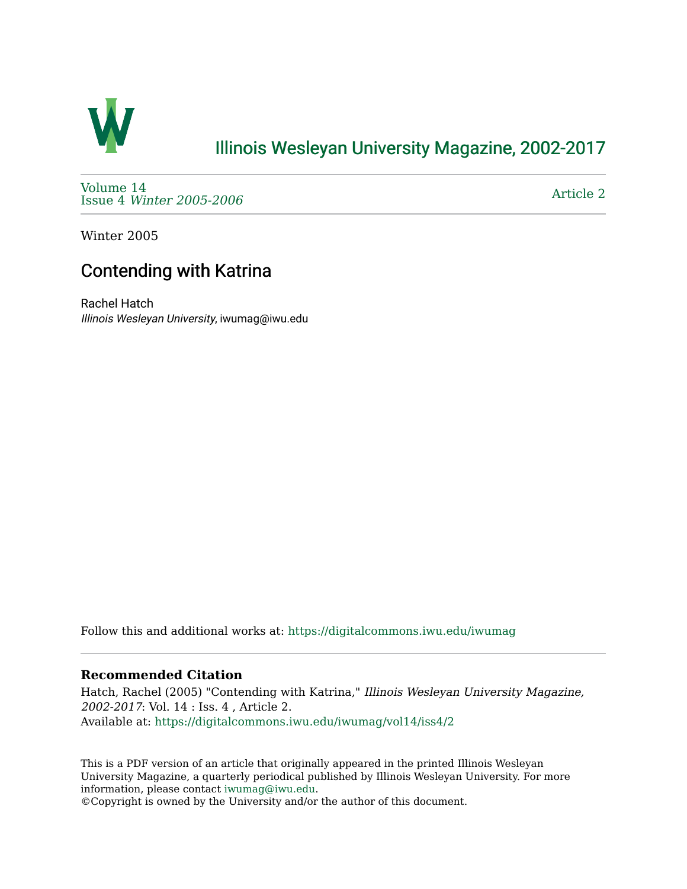

# [Illinois Wesleyan University Magazine, 2002-2017](https://digitalcommons.iwu.edu/iwumag)

[Volume 14](https://digitalcommons.iwu.edu/iwumag/vol14)  Issue 4 [Winter 2005-2006](https://digitalcommons.iwu.edu/iwumag/vol14/iss4)

[Article 2](https://digitalcommons.iwu.edu/iwumag/vol14/iss4/2) 

Winter 2005

# Contending with Katrina

Rachel Hatch Illinois Wesleyan University, iwumag@iwu.edu

Follow this and additional works at: [https://digitalcommons.iwu.edu/iwumag](https://digitalcommons.iwu.edu/iwumag?utm_source=digitalcommons.iwu.edu%2Fiwumag%2Fvol14%2Fiss4%2F2&utm_medium=PDF&utm_campaign=PDFCoverPages) 

#### **Recommended Citation**

Hatch, Rachel (2005) "Contending with Katrina," Illinois Wesleyan University Magazine, 2002-2017: Vol. 14 : Iss. 4 , Article 2. Available at: [https://digitalcommons.iwu.edu/iwumag/vol14/iss4/2](https://digitalcommons.iwu.edu/iwumag/vol14/iss4/2?utm_source=digitalcommons.iwu.edu%2Fiwumag%2Fvol14%2Fiss4%2F2&utm_medium=PDF&utm_campaign=PDFCoverPages)

This is a PDF version of an article that originally appeared in the printed Illinois Wesleyan University Magazine, a quarterly periodical published by Illinois Wesleyan University. For more information, please contact [iwumag@iwu.edu](mailto:iwumag@iwu.edu).

©Copyright is owned by the University and/or the author of this document.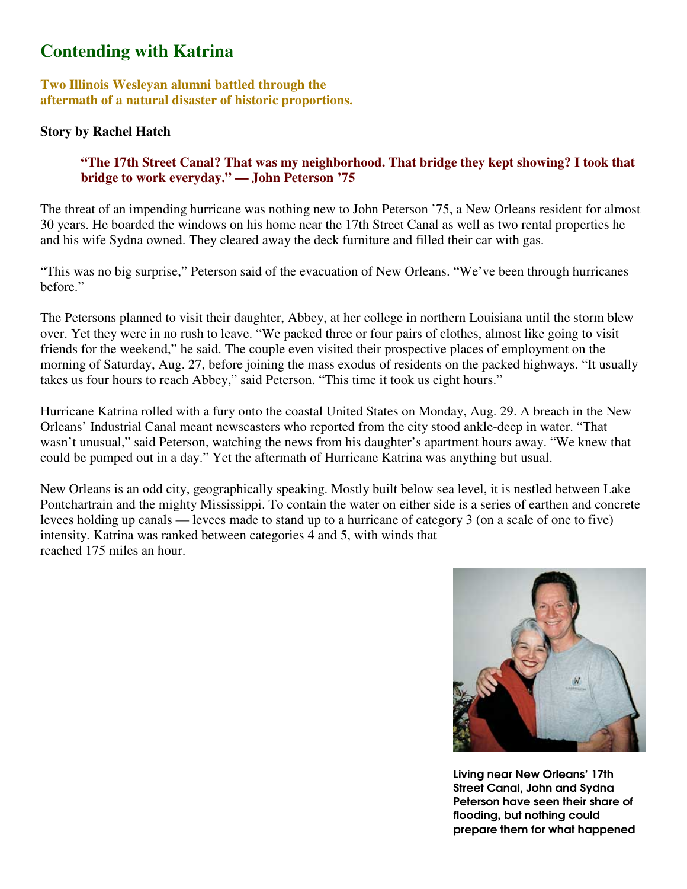## **Contending with Katrina**

**Two Illinois Wesleyan alumni battled through the aftermath of a natural disaster of historic proportions.** 

## **Story by Rachel Hatch**

### **"The 17th Street Canal? That was my neighborhood. That bridge they kept showing? I took that bridge to work everyday." — John Peterson '75**

The threat of an impending hurricane was nothing new to John Peterson '75, a New Orleans resident for almost 30 years. He boarded the windows on his home near the 17th Street Canal as well as two rental properties he and his wife Sydna owned. They cleared away the deck furniture and filled their car with gas.

"This was no big surprise," Peterson said of the evacuation of New Orleans. "We've been through hurricanes before."

The Petersons planned to visit their daughter, Abbey, at her college in northern Louisiana until the storm blew over. Yet they were in no rush to leave. "We packed three or four pairs of clothes, almost like going to visit friends for the weekend," he said. The couple even visited their prospective places of employment on the morning of Saturday, Aug. 27, before joining the mass exodus of residents on the packed highways. "It usually takes us four hours to reach Abbey," said Peterson. "This time it took us eight hours."

Hurricane Katrina rolled with a fury onto the coastal United States on Monday, Aug. 29. A breach in the New Orleans' Industrial Canal meant newscasters who reported from the city stood ankle-deep in water. "That wasn't unusual," said Peterson, watching the news from his daughter's apartment hours away. "We knew that could be pumped out in a day." Yet the aftermath of Hurricane Katrina was anything but usual.

New Orleans is an odd city, geographically speaking. Mostly built below sea level, it is nestled between Lake Pontchartrain and the mighty Mississippi. To contain the water on either side is a series of earthen and concrete levees holding up canals — levees made to stand up to a hurricane of category 3 (on a scale of one to five) intensity. Katrina was ranked between categories 4 and 5, with winds that reached 175 miles an hour.



Living near New Orleans' 17th Street Canal, John and Sydna Peterson have seen their share of flooding, but nothing could prepare them for what happened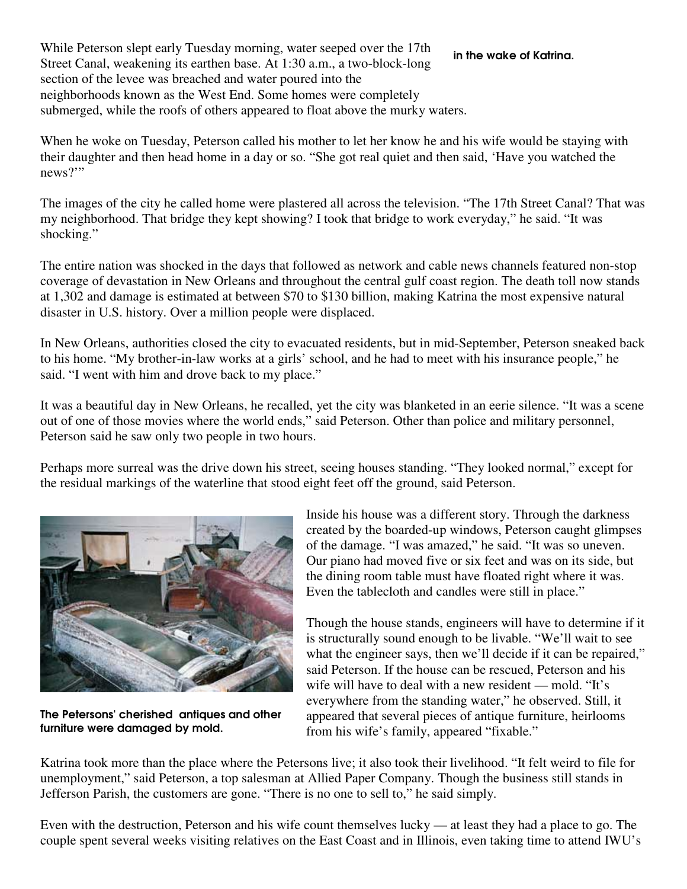While Peterson slept early Tuesday morning, water seeped over the 17th Street Canal, weakening its earthen base. At 1:30 a.m., a two-block-long section of the levee was breached and water poured into the neighborhoods known as the West End. Some homes were completely submerged, while the roofs of others appeared to float above the murky waters. in the wake of Katrina.

When he woke on Tuesday, Peterson called his mother to let her know he and his wife would be staying with their daughter and then head home in a day or so. "She got real quiet and then said, 'Have you watched the news?"

The images of the city he called home were plastered all across the television. "The 17th Street Canal? That was my neighborhood. That bridge they kept showing? I took that bridge to work everyday," he said. "It was shocking."

The entire nation was shocked in the days that followed as network and cable news channels featured non-stop coverage of devastation in New Orleans and throughout the central gulf coast region. The death toll now stands at 1,302 and damage is estimated at between \$70 to \$130 billion, making Katrina the most expensive natural disaster in U.S. history. Over a million people were displaced.

In New Orleans, authorities closed the city to evacuated residents, but in mid-September, Peterson sneaked back to his home. "My brother-in-law works at a girls' school, and he had to meet with his insurance people," he said. "I went with him and drove back to my place."

It was a beautiful day in New Orleans, he recalled, yet the city was blanketed in an eerie silence. "It was a scene out of one of those movies where the world ends," said Peterson. Other than police and military personnel, Peterson said he saw only two people in two hours.

Perhaps more surreal was the drive down his street, seeing houses standing. "They looked normal," except for the residual markings of the waterline that stood eight feet off the ground, said Peterson.



The Petersons' cherished antiques and other furniture were damaged by mold.

Inside his house was a different story. Through the darkness created by the boarded-up windows, Peterson caught glimpses of the damage. "I was amazed," he said. "It was so uneven. Our piano had moved five or six feet and was on its side, but the dining room table must have floated right where it was. Even the tablecloth and candles were still in place."

Though the house stands, engineers will have to determine if it is structurally sound enough to be livable. "We'll wait to see what the engineer says, then we'll decide if it can be repaired," said Peterson. If the house can be rescued, Peterson and his wife will have to deal with a new resident — mold. "It's everywhere from the standing water," he observed. Still, it appeared that several pieces of antique furniture, heirlooms from his wife's family, appeared "fixable."

Katrina took more than the place where the Petersons live; it also took their livelihood. "It felt weird to file for unemployment," said Peterson, a top salesman at Allied Paper Company. Though the business still stands in Jefferson Parish, the customers are gone. "There is no one to sell to," he said simply.

Even with the destruction, Peterson and his wife count themselves lucky — at least they had a place to go. The couple spent several weeks visiting relatives on the East Coast and in Illinois, even taking time to attend IWU's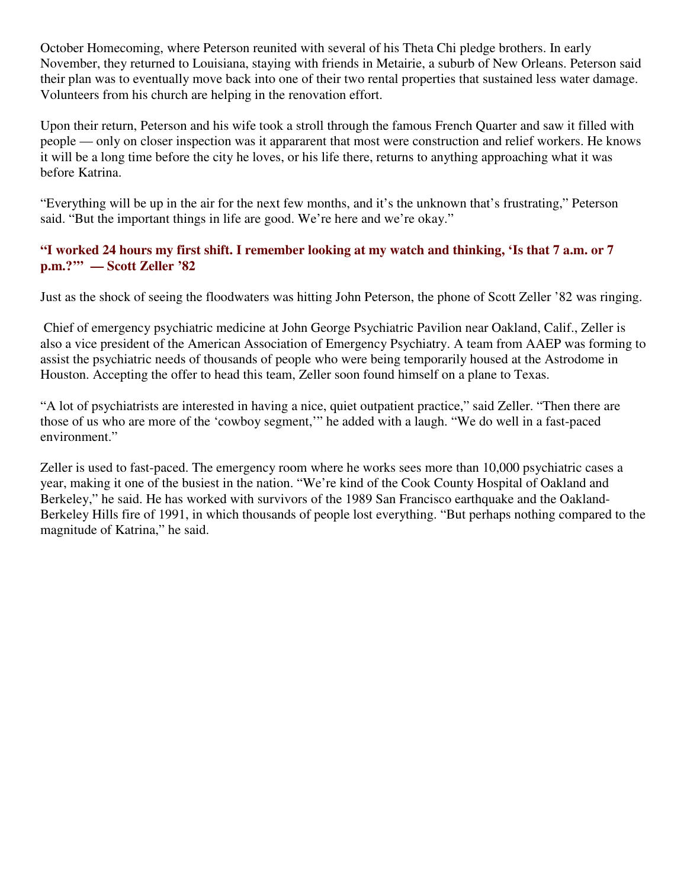October Homecoming, where Peterson reunited with several of his Theta Chi pledge brothers. In early November, they returned to Louisiana, staying with friends in Metairie, a suburb of New Orleans. Peterson said their plan was to eventually move back into one of their two rental properties that sustained less water damage. Volunteers from his church are helping in the renovation effort.

Upon their return, Peterson and his wife took a stroll through the famous French Quarter and saw it filled with people — only on closer inspection was it appararent that most were construction and relief workers. He knows it will be a long time before the city he loves, or his life there, returns to anything approaching what it was before Katrina.

"Everything will be up in the air for the next few months, and it's the unknown that's frustrating," Peterson said. "But the important things in life are good. We're here and we're okay."

### **"I worked 24 hours my first shift. I remember looking at my watch and thinking, 'Is that 7 a.m. or 7 p.m.?'" — Scott Zeller '82**

Just as the shock of seeing the floodwaters was hitting John Peterson, the phone of Scott Zeller '82 was ringing.

 Chief of emergency psychiatric medicine at John George Psychiatric Pavilion near Oakland, Calif., Zeller is also a vice president of the American Association of Emergency Psychiatry. A team from AAEP was forming to assist the psychiatric needs of thousands of people who were being temporarily housed at the Astrodome in Houston. Accepting the offer to head this team, Zeller soon found himself on a plane to Texas.

"A lot of psychiatrists are interested in having a nice, quiet outpatient practice," said Zeller. "Then there are those of us who are more of the 'cowboy segment,'" he added with a laugh. "We do well in a fast-paced environment."

Zeller is used to fast-paced. The emergency room where he works sees more than 10,000 psychiatric cases a year, making it one of the busiest in the nation. "We're kind of the Cook County Hospital of Oakland and Berkeley," he said. He has worked with survivors of the 1989 San Francisco earthquake and the Oakland-Berkeley Hills fire of 1991, in which thousands of people lost everything. "But perhaps nothing compared to the magnitude of Katrina," he said.